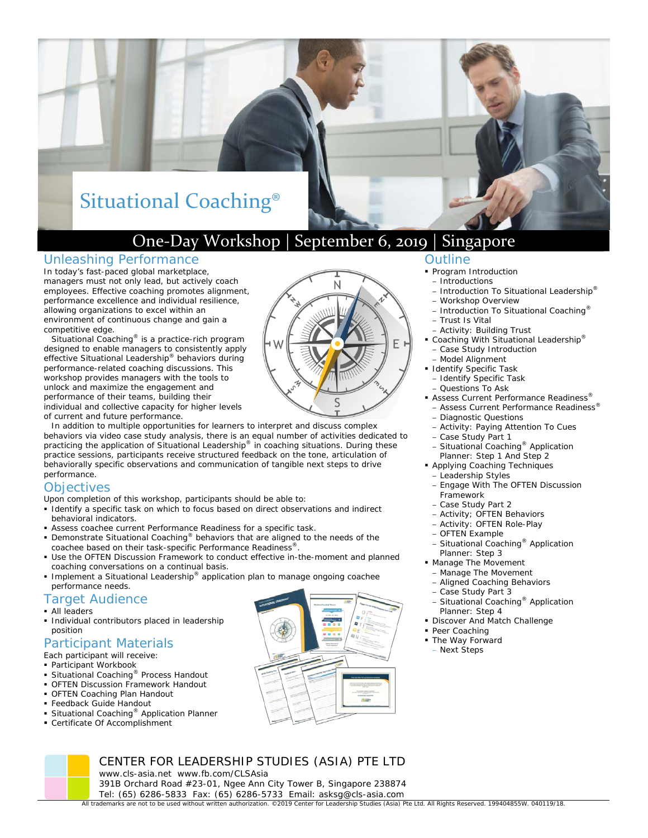# Situational Coaching®

# One‐Day Workshop | September 6, 2019 | Singapore

### Unleashing Performance

In today's fast-paced global marketplace, managers must not only lead, but actively coach employees. Effective coaching promotes alignment, performance excellence and individual resilience, allowing organizations to excel within an environment of continuous change and gain a competitive edge.

of current and future performance. *Situational Coaching®* is a practice-rich program designed to enable managers to consistently apply effective Situational Leadership® behaviors during performance-related coaching discussions. This workshop provides managers with the tools to unlock and maximize the engagement and performance of their teams, building their individual and collective capacity for higher levels

In addition to multiple opportunities for learners to interpret and discuss complex behaviors via video case study analysis, there is an equal number of activities dedicated to practicing the application of Situational Leadership® in coaching situations. During these practice sessions, participants receive structured feedback on the tone, articulation of behaviorally specific observations and communication of tangible next steps to drive performance.

#### **Objectives**

Upon completion of this workshop, participants should be able to:

- Identify a specific task on which to focus based on direct observations and indirect behavioral indicators.
- Assess coachee current Performance Readiness for a specific task.

www.cls-asia.net www.fb.com/CLSAsia

- Demonstrate Situational Coaching<sup>®</sup> behaviors that are aligned to the needs of the coachee based on their task-specific Performance Readiness®.
- Use the OFTEN Discussion Framework to conduct effective in-the-moment and planned coaching conversations on a continual basis.

CENTER FOR LEADERSHIP STUDIES (ASIA) PTE LTD

391B Orchard Road #23-01, Ngee Ann City Tower B, Singapore 238874

■ Implement a Situational Leadership<sup>®</sup> application plan to manage ongoing coachee performance needs.

#### Target Audience

- **All leaders**
- **Individual contributors placed in leadership** position

#### Participant Materials

- Each participant will receive:
- Participant Workbook
- Situational Coaching<sup>®</sup> Process Handout
- OFTEN Discussion Framework Handout
- OFTEN Coaching Plan Handout
- Feedback Guide Handout
- Situational Coaching<sup>®</sup> Application Planner
- Certificate Of Accomplishment



#### Outline

- 
- 
- 
- Workshop Overview
- Introduction To Situational Coaching®
- Trust Is Vital
- Activity: Building Trust ■ Coaching With Situational Leadership<sup>®</sup>
- Case Study Introduction
- Model Alignment
- **Identify Specific Task**
- Identify Specific Task
- Questions To Ask
- Assess Current Performance Readiness®
	- Assess Current Performance Readiness® – Diagnostic Questions
- Activity: Paying Attention To Cues
- Case Study Part 1
- Situational Coaching® Application Planner: Step 1 And Step 2
- Applying Coaching Techniques – Leadership Styles
	- Engage With The OFTEN Discussion **Framework**
	- Case Study Part 2
	- Activity; OFTEN Behaviors
	- Activity: OFTEN Role-Play
	- OFTEN Example
	- Situational Coaching® Application Planner: Step 3
- **Manage The Movement** 
	- Manage The Movement
- Aligned Coaching Behaviors
- Case Study Part 3
- Situational Coaching® Application Planner: Step 4
- **Discover And Match Challenge**
- Peer Coaching
- The Way Forward
- Next Steps

Tel: (65) 6286-5833 Fax: (65) 6286-5733 Email: asksg@cls-asia.com All trademarks are not to be used without written authorization. ©2019 Center for Leadership Studies (Asia) Pte Ltd. All Rights Reserved. 199404855W. 040119/18.

- **Program Introduction**
- Introductions
- Introduction To Situational Leadership®
-